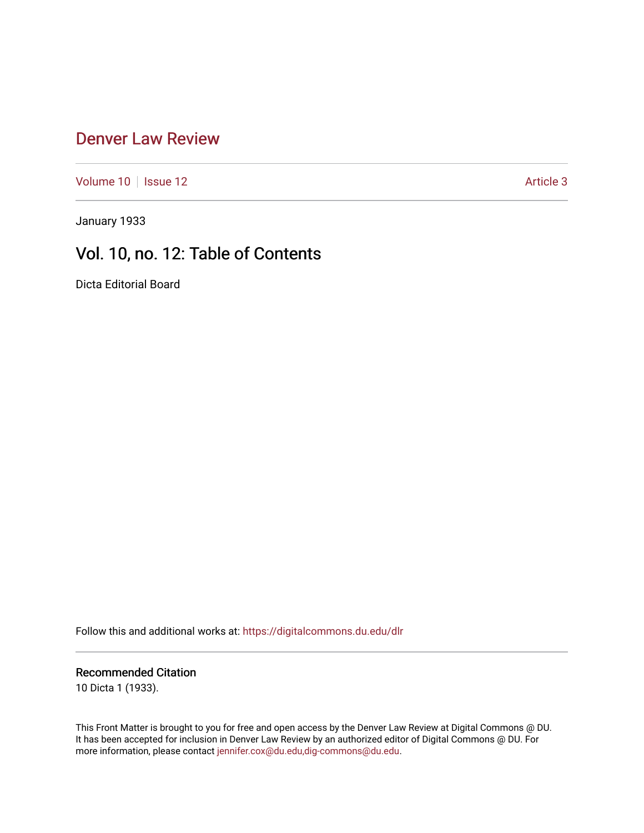### [Denver Law Review](https://digitalcommons.du.edu/dlr)

[Volume 10](https://digitalcommons.du.edu/dlr/vol10) | [Issue 12](https://digitalcommons.du.edu/dlr/vol10/iss12) Article 3

January 1933

# Vol. 10, no. 12: Table of Contents

Dicta Editorial Board

Follow this and additional works at: [https://digitalcommons.du.edu/dlr](https://digitalcommons.du.edu/dlr?utm_source=digitalcommons.du.edu%2Fdlr%2Fvol10%2Fiss12%2F3&utm_medium=PDF&utm_campaign=PDFCoverPages) 

#### Recommended Citation

10 Dicta 1 (1933).

This Front Matter is brought to you for free and open access by the Denver Law Review at Digital Commons @ DU. It has been accepted for inclusion in Denver Law Review by an authorized editor of Digital Commons @ DU. For more information, please contact [jennifer.cox@du.edu,dig-commons@du.edu.](mailto:jennifer.cox@du.edu,dig-commons@du.edu)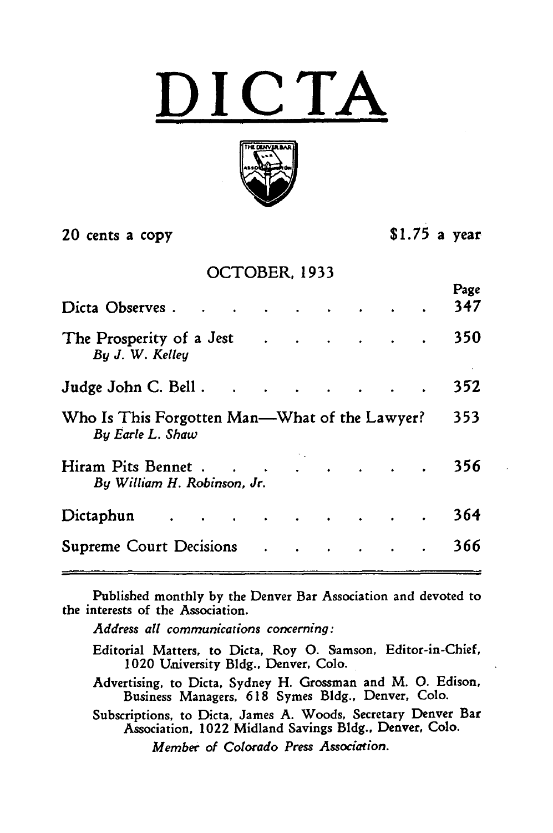$\mathbf{C}\mathbf{\,T}$ 



20 cents a copy **\$1.75** a year

 $P_{\text{max}}$ 

### OCTOBER, 1933

|                                                                   |  |  |  | г ахс |
|-------------------------------------------------------------------|--|--|--|-------|
| Dicta Observes                                                    |  |  |  | 347   |
| The Prosperity of a Jest<br>By J. W. Kelley                       |  |  |  | 350   |
| Judge John C. Bell.                                               |  |  |  | 352   |
| Who Is This Forgotten Man—What of the Lawyer?<br>By Earle L. Shaw |  |  |  | 353   |
| Hiram Pits Bennet<br>By William H. Robinson, Jr.                  |  |  |  | 356   |
| Dictaphun                                                         |  |  |  | 364   |
|                                                                   |  |  |  | 366   |
|                                                                   |  |  |  |       |

Published monthly **by** the Denver Bar Association and devoted to the interests of the Association.

*Address all communications concerning:*

Editorial Matters, to Dicta, Roy **0.** Samson, Editor-in-Chief, 1020 University Bldg., Denver, Colo.

Advertising, to Dicta, Sydney H. Grossman and M. **0.** Edison, Business Managers, 618 Symes Bldg., Denver, Colo.

Subscriptions, to Dicta, James A. Woods, Secretary Denver Bar Association, 1022 Midland Savings Bldg., Denver, Colo.

*Member of Colorado Press Association.*